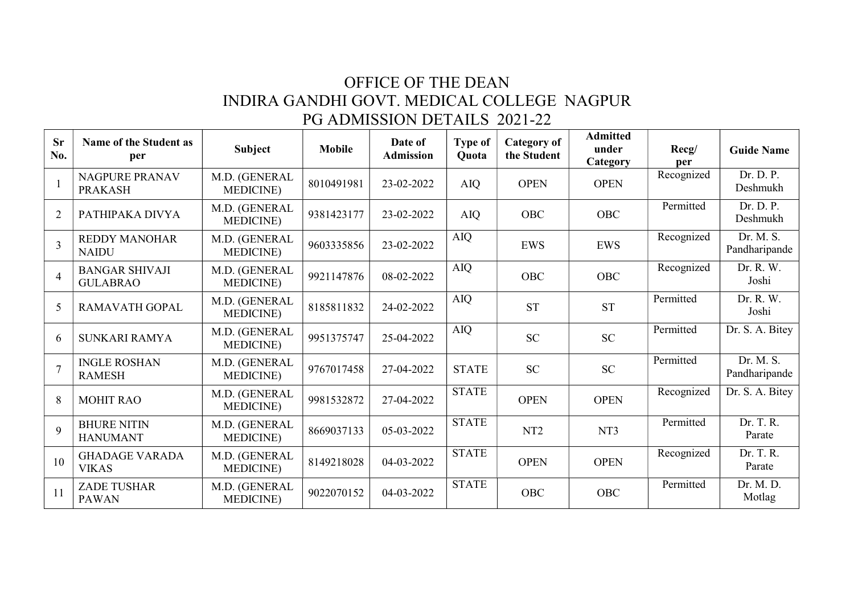## OFFICE OF THE DEAN INDIRA GANDHI GOVT. MEDICAL COLLEGE NAGPUR PG ADMISSION DETAILS 2021-22

| <b>Sr</b><br>No. | Name of the Student as<br>per            | Subject                            | <b>Mobile</b> | Date of<br><b>Admission</b> | <b>Type of</b><br>Quota | <b>Category of</b><br>the Student | <b>Admitted</b><br>under<br>Category | Recg/<br>per | <b>Guide Name</b>          |
|------------------|------------------------------------------|------------------------------------|---------------|-----------------------------|-------------------------|-----------------------------------|--------------------------------------|--------------|----------------------------|
| $\mathbf{1}$     | NAGPURE PRANAV<br><b>PRAKASH</b>         | M.D. (GENERAL<br><b>MEDICINE</b> ) | 8010491981    | 23-02-2022                  | <b>AIQ</b>              | <b>OPEN</b>                       | <b>OPEN</b>                          | Recognized   | Dr. D. P.<br>Deshmukh      |
| $\overline{2}$   | PATHIPAKA DIVYA                          | M.D. (GENERAL<br><b>MEDICINE</b> ) | 9381423177    | 23-02-2022                  | <b>AIQ</b>              | <b>OBC</b>                        | <b>OBC</b>                           | Permitted    | Dr. D. P.<br>Deshmukh      |
| $\overline{3}$   | <b>REDDY MANOHAR</b><br><b>NAIDU</b>     | M.D. (GENERAL<br><b>MEDICINE</b> ) | 9603335856    | 23-02-2022                  | AIQ                     | <b>EWS</b>                        | <b>EWS</b>                           | Recognized   | Dr. M. S.<br>Pandharipande |
| $\overline{4}$   | <b>BANGAR SHIVAJI</b><br><b>GULABRAO</b> | M.D. (GENERAL<br><b>MEDICINE</b> ) | 9921147876    | 08-02-2022                  | AIQ                     | OBC                               | OBC                                  | Recognized   | Dr. R. W.<br>Joshi         |
| 5                | <b>RAMAVATH GOPAL</b>                    | M.D. (GENERAL<br><b>MEDICINE</b> ) | 8185811832    | 24-02-2022                  | AIQ                     | <b>ST</b>                         | <b>ST</b>                            | Permitted    | Dr. R. W.<br>Joshi         |
| 6                | <b>SUNKARI RAMYA</b>                     | M.D. (GENERAL<br><b>MEDICINE</b> ) | 9951375747    | 25-04-2022                  | <b>AIQ</b>              | <b>SC</b>                         | <b>SC</b>                            | Permitted    | Dr. S. A. Bitey            |
| $\overline{7}$   | <b>INGLE ROSHAN</b><br><b>RAMESH</b>     | M.D. (GENERAL<br><b>MEDICINE</b> ) | 9767017458    | 27-04-2022                  | <b>STATE</b>            | <b>SC</b>                         | <b>SC</b>                            | Permitted    | Dr. M. S.<br>Pandharipande |
| 8                | <b>MOHIT RAO</b>                         | M.D. (GENERAL<br><b>MEDICINE</b> ) | 9981532872    | 27-04-2022                  | <b>STATE</b>            | <b>OPEN</b>                       | <b>OPEN</b>                          | Recognized   | Dr. S. A. Bitey            |
| 9                | <b>BHURE NITIN</b><br><b>HANUMANT</b>    | M.D. (GENERAL<br><b>MEDICINE</b> ) | 8669037133    | 05-03-2022                  | <b>STATE</b>            | NT <sub>2</sub>                   | NT3                                  | Permitted    | Dr. T. R.<br>Parate        |
| 10               | <b>GHADAGE VARADA</b><br><b>VIKAS</b>    | M.D. (GENERAL<br><b>MEDICINE</b> ) | 8149218028    | 04-03-2022                  | <b>STATE</b>            | <b>OPEN</b>                       | <b>OPEN</b>                          | Recognized   | Dr. T. R.<br>Parate        |
| 11               | ZADE TUSHAR<br><b>PAWAN</b>              | M.D. (GENERAL<br><b>MEDICINE</b> ) | 9022070152    | 04-03-2022                  | <b>STATE</b>            | <b>OBC</b>                        | <b>OBC</b>                           | Permitted    | Dr. M. D.<br>Motlag        |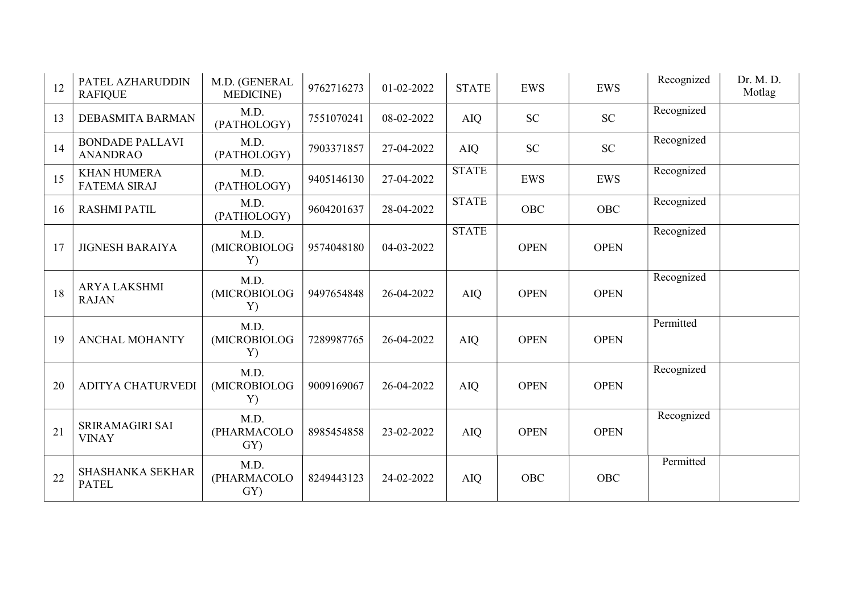| 12 | PATEL AZHARUDDIN<br><b>RAFIQUE</b>        | M.D. (GENERAL<br><b>MEDICINE</b> ) | 9762716273 | 01-02-2022 | <b>STATE</b> | <b>EWS</b>  | <b>EWS</b>  | Recognized | Dr. M. D.<br>Motlag |
|----|-------------------------------------------|------------------------------------|------------|------------|--------------|-------------|-------------|------------|---------------------|
| 13 | <b>DEBASMITA BARMAN</b>                   | M.D.<br>(PATHOLOGY)                | 7551070241 | 08-02-2022 | <b>AIQ</b>   | <b>SC</b>   | <b>SC</b>   | Recognized |                     |
| 14 | <b>BONDADE PALLAVI</b><br><b>ANANDRAO</b> | M.D.<br>(PATHOLOGY)                | 7903371857 | 27-04-2022 | <b>AIQ</b>   | <b>SC</b>   | SC          | Recognized |                     |
| 15 | <b>KHAN HUMERA</b><br><b>FATEMA SIRAJ</b> | M.D.<br>(PATHOLOGY)                | 9405146130 | 27-04-2022 | <b>STATE</b> | <b>EWS</b>  | <b>EWS</b>  | Recognized |                     |
| 16 | <b>RASHMI PATIL</b>                       | M.D.<br>(PATHOLOGY)                | 9604201637 | 28-04-2022 | <b>STATE</b> | <b>OBC</b>  | <b>OBC</b>  | Recognized |                     |
| 17 | <b>JIGNESH BARAIYA</b>                    | M.D.<br>(MICROBIOLOG<br>Y)         | 9574048180 | 04-03-2022 | <b>STATE</b> | <b>OPEN</b> | <b>OPEN</b> | Recognized |                     |
| 18 | <b>ARYA LAKSHMI</b><br><b>RAJAN</b>       | M.D.<br>(MICROBIOLOG<br>Y)         | 9497654848 | 26-04-2022 | <b>AIQ</b>   | <b>OPEN</b> | <b>OPEN</b> | Recognized |                     |
| 19 | <b>ANCHAL MOHANTY</b>                     | M.D.<br>(MICROBIOLOG<br>Y)         | 7289987765 | 26-04-2022 | <b>AIQ</b>   | <b>OPEN</b> | <b>OPEN</b> | Permitted  |                     |
| 20 | ADITYA CHATURVEDI                         | M.D.<br>(MICROBIOLOG<br>Y)         | 9009169067 | 26-04-2022 | <b>AIQ</b>   | <b>OPEN</b> | <b>OPEN</b> | Recognized |                     |
| 21 | SRIRAMAGIRI SAI<br><b>VINAY</b>           | M.D.<br>(PHARMACOLO<br>GY)         | 8985454858 | 23-02-2022 | <b>AIQ</b>   | <b>OPEN</b> | <b>OPEN</b> | Recognized |                     |
| 22 | <b>SHASHANKA SEKHAR</b><br><b>PATEL</b>   | M.D.<br>(PHARMACOLO<br>GY)         | 8249443123 | 24-02-2022 | AIQ          | OBC         | <b>OBC</b>  | Permitted  |                     |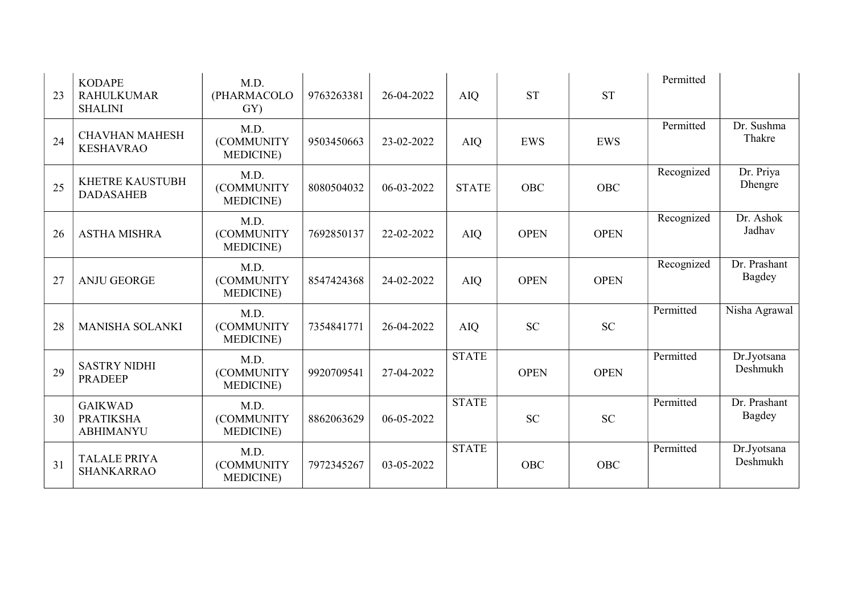| 23 | <b>KODAPE</b><br><b>RAHULKUMAR</b><br><b>SHALINI</b>   | M.D.<br>(PHARMACOLO<br>GY)              | 9763263381 | 26-04-2022 | <b>AIQ</b>   | <b>ST</b>   | <b>ST</b>   | Permitted  |                         |
|----|--------------------------------------------------------|-----------------------------------------|------------|------------|--------------|-------------|-------------|------------|-------------------------|
| 24 | <b>CHAVHAN MAHESH</b><br><b>KESHAVRAO</b>              | M.D.<br>(COMMUNITY<br><b>MEDICINE</b> ) | 9503450663 | 23-02-2022 | <b>AIQ</b>   | <b>EWS</b>  | <b>EWS</b>  | Permitted  | Dr. Sushma<br>Thakre    |
| 25 | <b>KHETRE KAUSTUBH</b><br><b>DADASAHEB</b>             | M.D.<br>(COMMUNITY<br><b>MEDICINE</b> ) | 8080504032 | 06-03-2022 | <b>STATE</b> | <b>OBC</b>  | <b>OBC</b>  | Recognized | Dr. Priya<br>Dhengre    |
| 26 | <b>ASTHA MISHRA</b>                                    | M.D.<br>(COMMUNITY<br><b>MEDICINE</b> ) | 7692850137 | 22-02-2022 | <b>AIQ</b>   | <b>OPEN</b> | <b>OPEN</b> | Recognized | Dr. Ashok<br>Jadhav     |
| 27 | <b>ANJU GEORGE</b>                                     | M.D.<br>(COMMUNITY<br><b>MEDICINE</b> ) | 8547424368 | 24-02-2022 | <b>AIQ</b>   | <b>OPEN</b> | <b>OPEN</b> | Recognized | Dr. Prashant<br>Bagdey  |
| 28 | MANISHA SOLANKI                                        | M.D.<br>(COMMUNITY<br><b>MEDICINE</b> ) | 7354841771 | 26-04-2022 | <b>AIQ</b>   | <b>SC</b>   | <b>SC</b>   | Permitted  | Nisha Agrawal           |
| 29 | <b>SASTRY NIDHI</b><br><b>PRADEEP</b>                  | M.D.<br>(COMMUNITY<br><b>MEDICINE</b> ) | 9920709541 | 27-04-2022 | <b>STATE</b> | <b>OPEN</b> | <b>OPEN</b> | Permitted  | Dr.Jyotsana<br>Deshmukh |
| 30 | <b>GAIKWAD</b><br><b>PRATIKSHA</b><br><b>ABHIMANYU</b> | M.D.<br>(COMMUNITY<br><b>MEDICINE</b> ) | 8862063629 | 06-05-2022 | <b>STATE</b> | <b>SC</b>   | <b>SC</b>   | Permitted  | Dr. Prashant<br>Bagdey  |
| 31 | <b>TALALE PRIYA</b><br><b>SHANKARRAO</b>               | M.D.<br>(COMMUNITY<br><b>MEDICINE</b> ) | 7972345267 | 03-05-2022 | <b>STATE</b> | <b>OBC</b>  | OBC         | Permitted  | Dr.Jyotsana<br>Deshmukh |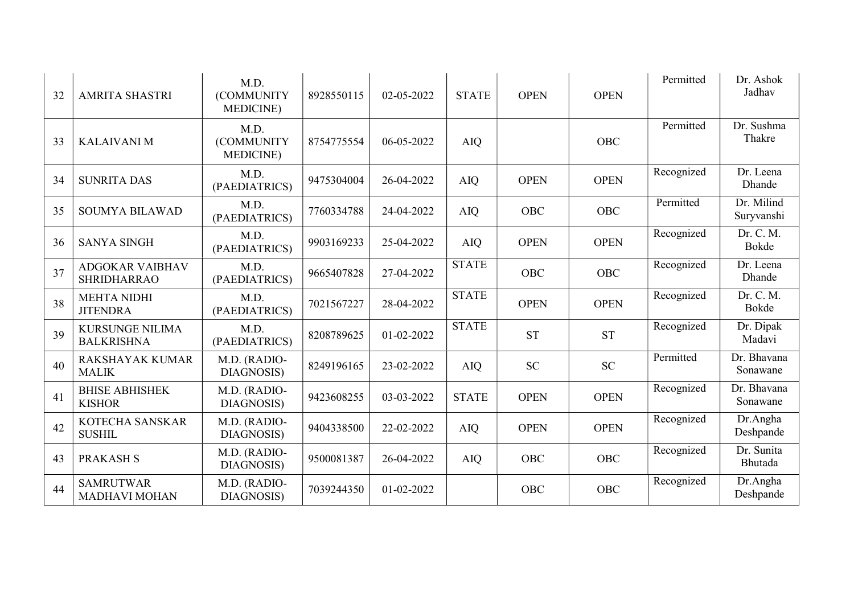| 32 | <b>AMRITA SHASTRI</b>                        | M.D.<br>(COMMUNITY<br><b>MEDICINE</b> ) | 8928550115 | 02-05-2022 | <b>STATE</b> | <b>OPEN</b> | <b>OPEN</b> | Permitted  | Dr. Ashok<br>Jadhav      |
|----|----------------------------------------------|-----------------------------------------|------------|------------|--------------|-------------|-------------|------------|--------------------------|
| 33 | <b>KALAIVANIM</b>                            | M.D.<br>(COMMUNITY<br><b>MEDICINE</b> ) | 8754775554 | 06-05-2022 | <b>AIQ</b>   |             | OBC         | Permitted  | Dr. Sushma<br>Thakre     |
| 34 | <b>SUNRITA DAS</b>                           | M.D.<br>(PAEDIATRICS)                   | 9475304004 | 26-04-2022 | <b>AIQ</b>   | <b>OPEN</b> | <b>OPEN</b> | Recognized | Dr. Leena<br>Dhande      |
| 35 | <b>SOUMYA BILAWAD</b>                        | M.D.<br>(PAEDIATRICS)                   | 7760334788 | 24-04-2022 | <b>AIQ</b>   | <b>OBC</b>  | <b>OBC</b>  | Permitted  | Dr. Milind<br>Suryvanshi |
| 36 | <b>SANYA SINGH</b>                           | M.D.<br>(PAEDIATRICS)                   | 9903169233 | 25-04-2022 | <b>AIQ</b>   | <b>OPEN</b> | <b>OPEN</b> | Recognized | Dr. C. M.<br>Bokde       |
| 37 | <b>ADGOKAR VAIBHAV</b><br><b>SHRIDHARRAO</b> | M.D.<br>(PAEDIATRICS)                   | 9665407828 | 27-04-2022 | <b>STATE</b> | <b>OBC</b>  | <b>OBC</b>  | Recognized | Dr. Leena<br>Dhande      |
| 38 | <b>MEHTA NIDHI</b><br><b>JITENDRA</b>        | M.D.<br>(PAEDIATRICS)                   | 7021567227 | 28-04-2022 | <b>STATE</b> | <b>OPEN</b> | <b>OPEN</b> | Recognized | Dr. C. M.<br>Bokde       |
| 39 | <b>KURSUNGE NILIMA</b><br><b>BALKRISHNA</b>  | M.D.<br>(PAEDIATRICS)                   | 8208789625 | 01-02-2022 | <b>STATE</b> | <b>ST</b>   | <b>ST</b>   | Recognized | Dr. Dipak<br>Madavi      |
| 40 | <b>RAKSHAYAK KUMAR</b><br><b>MALIK</b>       | M.D. (RADIO-<br>DIAGNOSIS)              | 8249196165 | 23-02-2022 | <b>AIQ</b>   | <b>SC</b>   | <b>SC</b>   | Permitted  | Dr. Bhavana<br>Sonawane  |
| 41 | <b>BHISE ABHISHEK</b><br><b>KISHOR</b>       | M.D. (RADIO-<br>DIAGNOSIS)              | 9423608255 | 03-03-2022 | <b>STATE</b> | <b>OPEN</b> | <b>OPEN</b> | Recognized | Dr. Bhavana<br>Sonawane  |
| 42 | KOTECHA SANSKAR<br><b>SUSHIL</b>             | M.D. (RADIO-<br>DIAGNOSIS)              | 9404338500 | 22-02-2022 | <b>AIQ</b>   | <b>OPEN</b> | <b>OPEN</b> | Recognized | Dr.Angha<br>Deshpande    |
| 43 | <b>PRAKASH S</b>                             | M.D. (RADIO-<br>DIAGNOSIS)              | 9500081387 | 26-04-2022 | <b>AIQ</b>   | <b>OBC</b>  | <b>OBC</b>  | Recognized | Dr. Sunita<br>Bhutada    |
| 44 | <b>SAMRUTWAR</b><br><b>MADHAVI MOHAN</b>     | M.D. (RADIO-<br>DIAGNOSIS)              | 7039244350 | 01-02-2022 |              | <b>OBC</b>  | OBC         | Recognized | Dr.Angha<br>Deshpande    |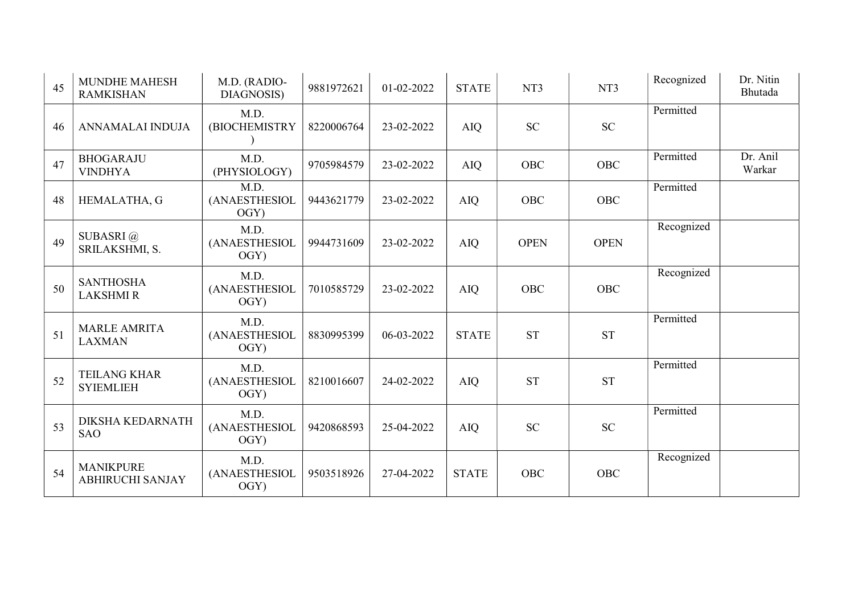| 45 | <b>MUNDHE MAHESH</b><br><b>RAMKISHAN</b>    | M.D. (RADIO-<br>DIAGNOSIS)    | 9881972621 | 01-02-2022 | <b>STATE</b> | NT3         | NT3         | Recognized | Dr. Nitin<br>Bhutada |
|----|---------------------------------------------|-------------------------------|------------|------------|--------------|-------------|-------------|------------|----------------------|
| 46 | ANNAMALAI INDUJA                            | M.D.<br>(BIOCHEMISTRY         | 8220006764 | 23-02-2022 | <b>AIQ</b>   | <b>SC</b>   | <b>SC</b>   | Permitted  |                      |
| 47 | <b>BHOGARAJU</b><br><b>VINDHYA</b>          | M.D.<br>(PHYSIOLOGY)          | 9705984579 | 23-02-2022 | AIQ          | OBC         | <b>OBC</b>  | Permitted  | Dr. Anil<br>Warkar   |
| 48 | HEMALATHA, G                                | M.D.<br>(ANAESTHESIOL<br>OGY) | 9443621779 | 23-02-2022 | <b>AIQ</b>   | OBC         | <b>OBC</b>  | Permitted  |                      |
| 49 | SUBASRI@<br>SRILAKSHMI, S.                  | M.D.<br>(ANAESTHESIOL<br>OGY  | 9944731609 | 23-02-2022 | <b>AIQ</b>   | <b>OPEN</b> | <b>OPEN</b> | Recognized |                      |
| 50 | <b>SANTHOSHA</b><br><b>LAKSHMIR</b>         | M.D.<br>(ANAESTHESIOL<br>OGY  | 7010585729 | 23-02-2022 | <b>AIQ</b>   | OBC         | <b>OBC</b>  | Recognized |                      |
| 51 | <b>MARLE AMRITA</b><br><b>LAXMAN</b>        | M.D.<br>(ANAESTHESIOL<br>OGY  | 8830995399 | 06-03-2022 | <b>STATE</b> | <b>ST</b>   | <b>ST</b>   | Permitted  |                      |
| 52 | <b>TEILANG KHAR</b><br><b>SYIEMLIEH</b>     | M.D.<br>(ANAESTHESIOL<br>OGY) | 8210016607 | 24-02-2022 | <b>AIQ</b>   | <b>ST</b>   | <b>ST</b>   | Permitted  |                      |
| 53 | <b>DIKSHA KEDARNATH</b><br><b>SAO</b>       | M.D.<br>(ANAESTHESIOL<br>OGY  | 9420868593 | 25-04-2022 | <b>AIQ</b>   | <b>SC</b>   | <b>SC</b>   | Permitted  |                      |
| 54 | <b>MANIKPURE</b><br><b>ABHIRUCHI SANJAY</b> | M.D.<br>(ANAESTHESIOL<br>OGY) | 9503518926 | 27-04-2022 | <b>STATE</b> | OBC         | <b>OBC</b>  | Recognized |                      |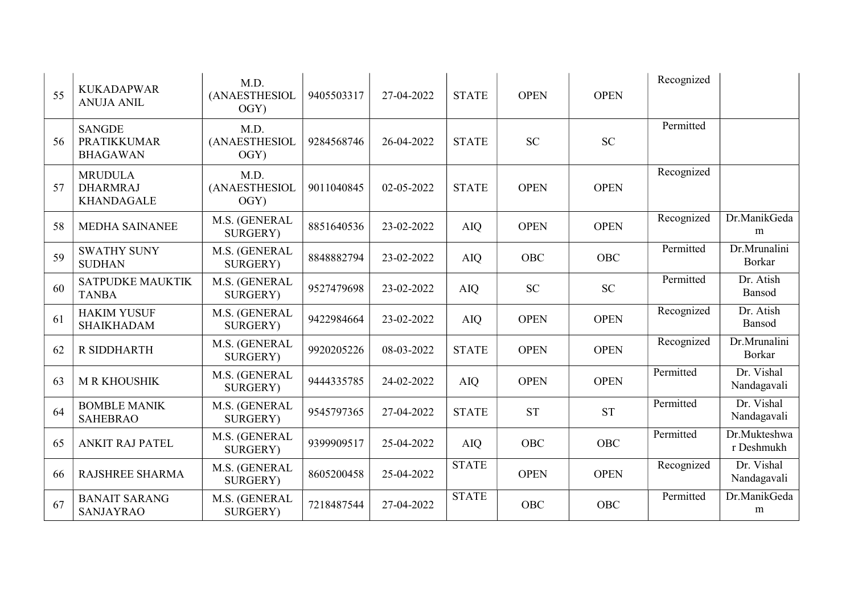| 55 | <b>KUKADAPWAR</b><br><b>ANUJA ANIL</b>                 | M.D.<br>(ANAESTHESIOL<br>OGY) | 9405503317 | 27-04-2022 | <b>STATE</b> | <b>OPEN</b> | <b>OPEN</b> | Recognized |                               |
|----|--------------------------------------------------------|-------------------------------|------------|------------|--------------|-------------|-------------|------------|-------------------------------|
| 56 | <b>SANGDE</b><br><b>PRATIKKUMAR</b><br><b>BHAGAWAN</b> | M.D.<br>(ANAESTHESIOL<br>OGY) | 9284568746 | 26-04-2022 | <b>STATE</b> | <b>SC</b>   | <b>SC</b>   | Permitted  |                               |
| 57 | <b>MRUDULA</b><br><b>DHARMRAJ</b><br><b>KHANDAGALE</b> | M.D.<br>(ANAESTHESIOL<br>OGY) | 9011040845 | 02-05-2022 | <b>STATE</b> | <b>OPEN</b> | <b>OPEN</b> | Recognized |                               |
| 58 | <b>MEDHA SAINANEE</b>                                  | M.S. (GENERAL<br>SURGERY)     | 8851640536 | 23-02-2022 | <b>AIQ</b>   | <b>OPEN</b> | <b>OPEN</b> | Recognized | Dr.ManikGeda<br>m             |
| 59 | <b>SWATHY SUNY</b><br><b>SUDHAN</b>                    | M.S. (GENERAL<br>SURGERY)     | 8848882794 | 23-02-2022 | <b>AIQ</b>   | OBC         | <b>OBC</b>  | Permitted  | Dr.Mrunalini<br><b>Borkar</b> |
| 60 | <b>SATPUDKE MAUKTIK</b><br><b>TANBA</b>                | M.S. (GENERAL<br>SURGERY)     | 9527479698 | 23-02-2022 | <b>AIQ</b>   | <b>SC</b>   | <b>SC</b>   | Permitted  | Dr. Atish<br>Bansod           |
| 61 | <b>HAKIM YUSUF</b><br><b>SHAIKHADAM</b>                | M.S. (GENERAL<br>SURGERY)     | 9422984664 | 23-02-2022 | <b>AIQ</b>   | <b>OPEN</b> | <b>OPEN</b> | Recognized | Dr. Atish<br>Bansod           |
| 62 | <b>R SIDDHARTH</b>                                     | M.S. (GENERAL<br>SURGERY)     | 9920205226 | 08-03-2022 | <b>STATE</b> | <b>OPEN</b> | <b>OPEN</b> | Recognized | Dr.Mrunalini<br><b>Borkar</b> |
| 63 | <b>MRKHOUSHIK</b>                                      | M.S. (GENERAL<br>SURGERY)     | 9444335785 | 24-02-2022 | <b>AIQ</b>   | <b>OPEN</b> | <b>OPEN</b> | Permitted  | Dr. Vishal<br>Nandagavali     |
| 64 | <b>BOMBLE MANIK</b><br><b>SAHEBRAO</b>                 | M.S. (GENERAL<br>SURGERY)     | 9545797365 | 27-04-2022 | <b>STATE</b> | <b>ST</b>   | <b>ST</b>   | Permitted  | Dr. Vishal<br>Nandagavali     |
| 65 | <b>ANKIT RAJ PATEL</b>                                 | M.S. (GENERAL<br>SURGERY)     | 9399909517 | 25-04-2022 | <b>AIQ</b>   | <b>OBC</b>  | <b>OBC</b>  | Permitted  | Dr.Mukteshwa<br>r Deshmukh    |
| 66 | RAJSHREE SHARMA                                        | M.S. (GENERAL<br>SURGERY)     | 8605200458 | 25-04-2022 | <b>STATE</b> | <b>OPEN</b> | <b>OPEN</b> | Recognized | Dr. Vishal<br>Nandagavali     |
| 67 | <b>BANAIT SARANG</b><br><b>SANJAYRAO</b>               | M.S. (GENERAL<br>SURGERY)     | 7218487544 | 27-04-2022 | <b>STATE</b> | OBC         | <b>OBC</b>  | Permitted  | Dr.ManikGeda<br>m             |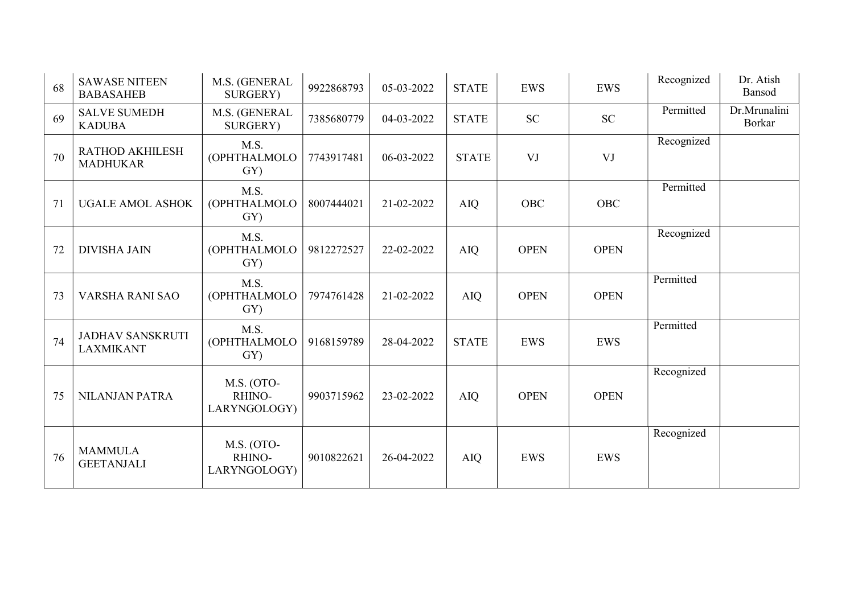| 68 | <b>SAWASE NITEEN</b><br><b>BABASAHEB</b>    | M.S. (GENERAL<br>SURGERY)            | 9922868793 | 05-03-2022 | <b>STATE</b> | EWS         | <b>EWS</b>  | Recognized | Dr. Atish<br>Bansod           |
|----|---------------------------------------------|--------------------------------------|------------|------------|--------------|-------------|-------------|------------|-------------------------------|
| 69 | <b>SALVE SUMEDH</b><br><b>KADUBA</b>        | M.S. (GENERAL<br>SURGERY)            | 7385680779 | 04-03-2022 | <b>STATE</b> | <b>SC</b>   | <b>SC</b>   | Permitted  | Dr.Mrunalini<br><b>Borkar</b> |
| 70 | <b>RATHOD AKHILESH</b><br><b>MADHUKAR</b>   | M.S.<br>(OPHTHALMOLO<br>GY)          | 7743917481 | 06-03-2022 | <b>STATE</b> | VJ          | VJ          | Recognized |                               |
| 71 | <b>UGALE AMOL ASHOK</b>                     | M.S.<br>(OPHTHALMOLO<br>GY)          | 8007444021 | 21-02-2022 | <b>AIQ</b>   | <b>OBC</b>  | <b>OBC</b>  | Permitted  |                               |
| 72 | <b>DIVISHA JAIN</b>                         | M.S.<br>(OPHTHALMOLO<br>GY)          | 9812272527 | 22-02-2022 | <b>AIQ</b>   | <b>OPEN</b> | <b>OPEN</b> | Recognized |                               |
| 73 | VARSHA RANI SAO                             | M.S.<br>(OPHTHALMOLO<br>GY)          | 7974761428 | 21-02-2022 | <b>AIQ</b>   | <b>OPEN</b> | <b>OPEN</b> | Permitted  |                               |
| 74 | <b>JADHAV SANSKRUTI</b><br><b>LAXMIKANT</b> | M.S.<br>(OPHTHALMOLO<br>GY)          | 9168159789 | 28-04-2022 | <b>STATE</b> | <b>EWS</b>  | <b>EWS</b>  | Permitted  |                               |
| 75 | <b>NILANJAN PATRA</b>                       | M.S. (OTO-<br>RHINO-<br>LARYNGOLOGY) | 9903715962 | 23-02-2022 | <b>AIQ</b>   | <b>OPEN</b> | <b>OPEN</b> | Recognized |                               |
| 76 | <b>MAMMULA</b><br><b>GEETANJALI</b>         | M.S. (OTO-<br>RHINO-<br>LARYNGOLOGY) | 9010822621 | 26-04-2022 | <b>AIQ</b>   | <b>EWS</b>  | <b>EWS</b>  | Recognized |                               |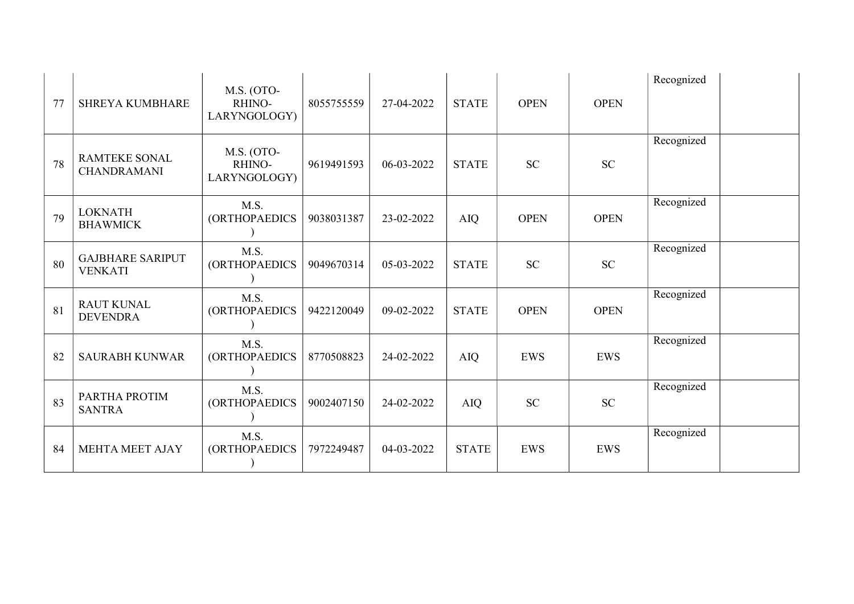| 77 | <b>SHREYA KUMBHARE</b>                     | M.S. (OTO-<br>RHINO-<br>LARYNGOLOGY) | 8055755559 | 27-04-2022 | <b>STATE</b> | <b>OPEN</b> | <b>OPEN</b> | Recognized |
|----|--------------------------------------------|--------------------------------------|------------|------------|--------------|-------------|-------------|------------|
| 78 | <b>RAMTEKE SONAL</b><br><b>CHANDRAMANI</b> | M.S. (OTO-<br>RHINO-<br>LARYNGOLOGY) | 9619491593 | 06-03-2022 | <b>STATE</b> | <b>SC</b>   | <b>SC</b>   | Recognized |
| 79 | <b>LOKNATH</b><br><b>BHAWMICK</b>          | M.S.<br>(ORTHOPAEDICS                | 9038031387 | 23-02-2022 | AIQ          | <b>OPEN</b> | <b>OPEN</b> | Recognized |
| 80 | <b>GAJBHARE SARIPUT</b><br><b>VENKATI</b>  | M.S.<br><b>(ORTHOPAEDICS</b>         | 9049670314 | 05-03-2022 | <b>STATE</b> | <b>SC</b>   | <b>SC</b>   | Recognized |
| 81 | <b>RAUT KUNAL</b><br><b>DEVENDRA</b>       | M.S.<br><b>(ORTHOPAEDICS</b>         | 9422120049 | 09-02-2022 | <b>STATE</b> | <b>OPEN</b> | <b>OPEN</b> | Recognized |
| 82 | <b>SAURABH KUNWAR</b>                      | M.S.<br><b>(ORTHOPAEDICS</b>         | 8770508823 | 24-02-2022 | <b>AIQ</b>   | <b>EWS</b>  | <b>EWS</b>  | Recognized |
| 83 | PARTHA PROTIM<br><b>SANTRA</b>             | M.S.<br>(ORTHOPAEDICS                | 9002407150 | 24-02-2022 | <b>AIQ</b>   | <b>SC</b>   | <b>SC</b>   | Recognized |
| 84 | <b>MEHTA MEET AJAY</b>                     | M.S.<br>(ORTHOPAEDICS                | 7972249487 | 04-03-2022 | <b>STATE</b> | <b>EWS</b>  | <b>EWS</b>  | Recognized |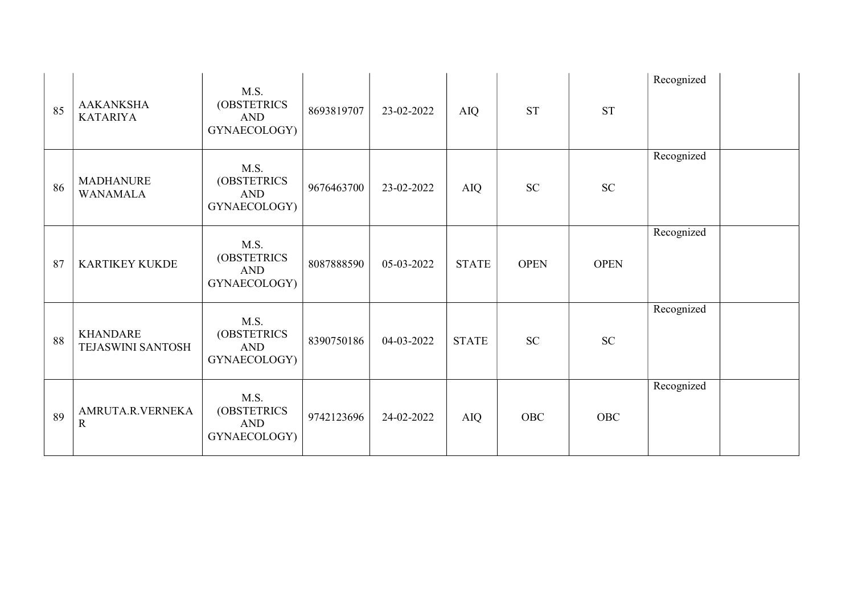| 85 | <b>AAKANKSHA</b><br><b>KATARIYA</b>  | M.S.<br>(OBSTETRICS<br><b>AND</b><br>GYNAECOLOGY) | 8693819707 | 23-02-2022 | AIQ          | <b>ST</b>   | <b>ST</b>   | Recognized |  |
|----|--------------------------------------|---------------------------------------------------|------------|------------|--------------|-------------|-------------|------------|--|
| 86 | <b>MADHANURE</b><br><b>WANAMALA</b>  | M.S.<br>(OBSTETRICS<br><b>AND</b><br>GYNAECOLOGY) | 9676463700 | 23-02-2022 | AIQ          | <b>SC</b>   | <b>SC</b>   | Recognized |  |
| 87 | <b>KARTIKEY KUKDE</b>                | M.S.<br>(OBSTETRICS<br><b>AND</b><br>GYNAECOLOGY) | 8087888590 | 05-03-2022 | <b>STATE</b> | <b>OPEN</b> | <b>OPEN</b> | Recognized |  |
| 88 | <b>KHANDARE</b><br>TEJASWINI SANTOSH | M.S.<br>(OBSTETRICS<br><b>AND</b><br>GYNAECOLOGY) | 8390750186 | 04-03-2022 | <b>STATE</b> | <b>SC</b>   | <b>SC</b>   | Recognized |  |
| 89 | AMRUTA.R.VERNEKA<br>$\mathbf R$      | M.S.<br>(OBSTETRICS<br><b>AND</b><br>GYNAECOLOGY) | 9742123696 | 24-02-2022 | AIQ          | OBC         | OBC         | Recognized |  |